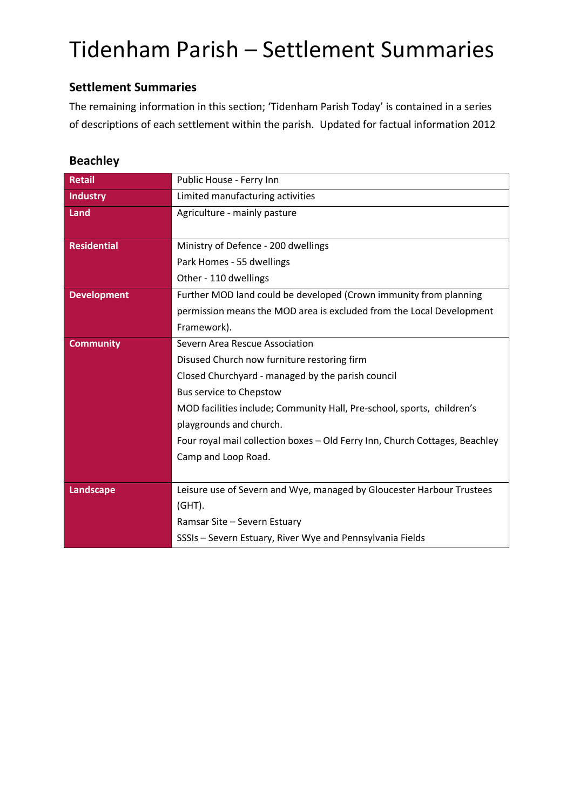#### **Settlement Summaries**

The remaining information in this section; 'Tidenham Parish Today' is contained in a series of descriptions of each settlement within the parish. Updated for factual information 2012

#### **Beachley**

| <b>Retail</b>      | Public House - Ferry Inn                                                    |
|--------------------|-----------------------------------------------------------------------------|
| <b>Industry</b>    | Limited manufacturing activities                                            |
| Land               | Agriculture - mainly pasture                                                |
|                    |                                                                             |
| <b>Residential</b> | Ministry of Defence - 200 dwellings                                         |
|                    | Park Homes - 55 dwellings                                                   |
|                    | Other - 110 dwellings                                                       |
| <b>Development</b> | Further MOD land could be developed (Crown immunity from planning           |
|                    | permission means the MOD area is excluded from the Local Development        |
|                    | Framework).                                                                 |
| <b>Community</b>   | Severn Area Rescue Association                                              |
|                    | Disused Church now furniture restoring firm                                 |
|                    | Closed Churchyard - managed by the parish council                           |
|                    | Bus service to Chepstow                                                     |
|                    | MOD facilities include; Community Hall, Pre-school, sports, children's      |
|                    | playgrounds and church.                                                     |
|                    | Four royal mail collection boxes - Old Ferry Inn, Church Cottages, Beachley |
|                    | Camp and Loop Road.                                                         |
|                    |                                                                             |
| <b>Landscape</b>   | Leisure use of Severn and Wye, managed by Gloucester Harbour Trustees       |
|                    | $(GHT)$ .                                                                   |
|                    | Ramsar Site - Severn Estuary                                                |
|                    | SSSIs - Severn Estuary, River Wye and Pennsylvania Fields                   |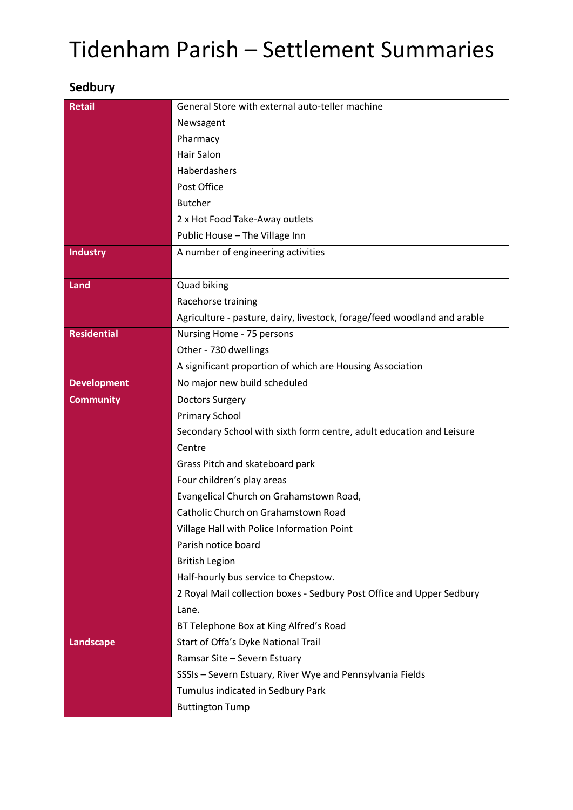### **Sedbury**

| <b>Retail</b>      | General Store with external auto-teller machine                          |
|--------------------|--------------------------------------------------------------------------|
|                    | Newsagent                                                                |
|                    | Pharmacy                                                                 |
|                    | <b>Hair Salon</b>                                                        |
|                    | Haberdashers                                                             |
|                    | Post Office                                                              |
|                    | <b>Butcher</b>                                                           |
|                    | 2 x Hot Food Take-Away outlets                                           |
|                    | Public House - The Village Inn                                           |
| <b>Industry</b>    | A number of engineering activities                                       |
|                    |                                                                          |
| Land               | <b>Quad biking</b>                                                       |
|                    | Racehorse training                                                       |
|                    | Agriculture - pasture, dairy, livestock, forage/feed woodland and arable |
| <b>Residential</b> | Nursing Home - 75 persons                                                |
|                    | Other - 730 dwellings                                                    |
|                    | A significant proportion of which are Housing Association                |
| <b>Development</b> | No major new build scheduled                                             |
| <b>Community</b>   | <b>Doctors Surgery</b>                                                   |
|                    | Primary School                                                           |
|                    | Secondary School with sixth form centre, adult education and Leisure     |
|                    | Centre                                                                   |
|                    | Grass Pitch and skateboard park                                          |
|                    | Four children's play areas                                               |
|                    | Evangelical Church on Grahamstown Road,                                  |
|                    | Catholic Church on Grahamstown Road                                      |
|                    | Village Hall with Police Information Point                               |
|                    | Parish notice board                                                      |
|                    | <b>British Legion</b>                                                    |
|                    | Half-hourly bus service to Chepstow.                                     |
|                    | 2 Royal Mail collection boxes - Sedbury Post Office and Upper Sedbury    |
|                    | Lane.                                                                    |
|                    | BT Telephone Box at King Alfred's Road                                   |
| Landscape          | Start of Offa's Dyke National Trail                                      |
|                    | Ramsar Site - Severn Estuary                                             |
|                    | SSSIs - Severn Estuary, River Wye and Pennsylvania Fields                |
|                    | Tumulus indicated in Sedbury Park                                        |
|                    | <b>Buttington Tump</b>                                                   |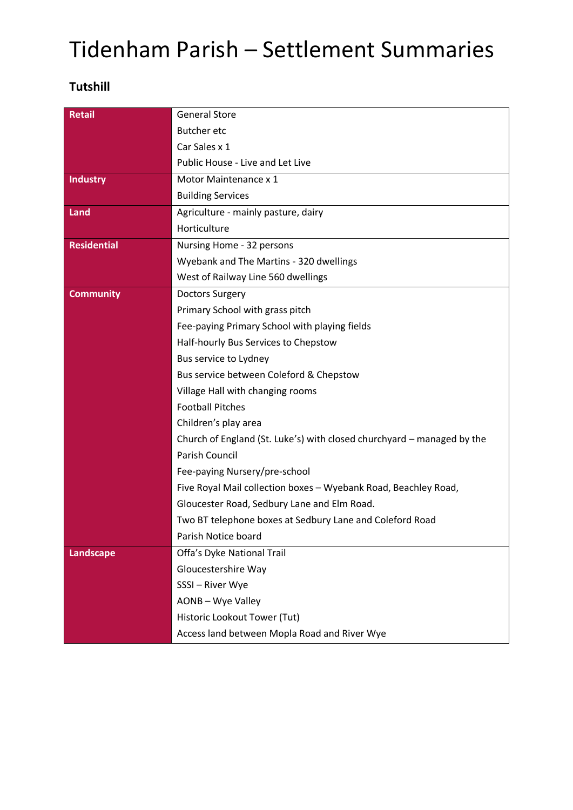#### **Tutshill**

| <b>Retail</b>      | <b>General Store</b>                                                   |
|--------------------|------------------------------------------------------------------------|
|                    | <b>Butcher etc</b>                                                     |
|                    | Car Sales x 1                                                          |
|                    | Public House - Live and Let Live                                       |
| <b>Industry</b>    | Motor Maintenance x 1                                                  |
|                    | <b>Building Services</b>                                               |
| Land               | Agriculture - mainly pasture, dairy                                    |
|                    | Horticulture                                                           |
| <b>Residential</b> | Nursing Home - 32 persons                                              |
|                    | Wyebank and The Martins - 320 dwellings                                |
|                    | West of Railway Line 560 dwellings                                     |
| <b>Community</b>   | <b>Doctors Surgery</b>                                                 |
|                    | Primary School with grass pitch                                        |
|                    | Fee-paying Primary School with playing fields                          |
|                    | Half-hourly Bus Services to Chepstow                                   |
|                    | Bus service to Lydney                                                  |
|                    | Bus service between Coleford & Chepstow                                |
|                    | Village Hall with changing rooms                                       |
|                    | <b>Football Pitches</b>                                                |
|                    | Children's play area                                                   |
|                    | Church of England (St. Luke's) with closed churchyard - managed by the |
|                    | Parish Council                                                         |
|                    | Fee-paying Nursery/pre-school                                          |
|                    | Five Royal Mail collection boxes - Wyebank Road, Beachley Road,        |
|                    | Gloucester Road, Sedbury Lane and Elm Road.                            |
|                    | Two BT telephone boxes at Sedbury Lane and Coleford Road               |
|                    | Parish Notice board                                                    |
| Landscape          | Offa's Dyke National Trail                                             |
|                    | Gloucestershire Way                                                    |
|                    | SSSI-River Wye                                                         |
|                    | AONB - Wye Valley                                                      |
|                    | Historic Lookout Tower (Tut)                                           |
|                    | Access land between Mopla Road and River Wye                           |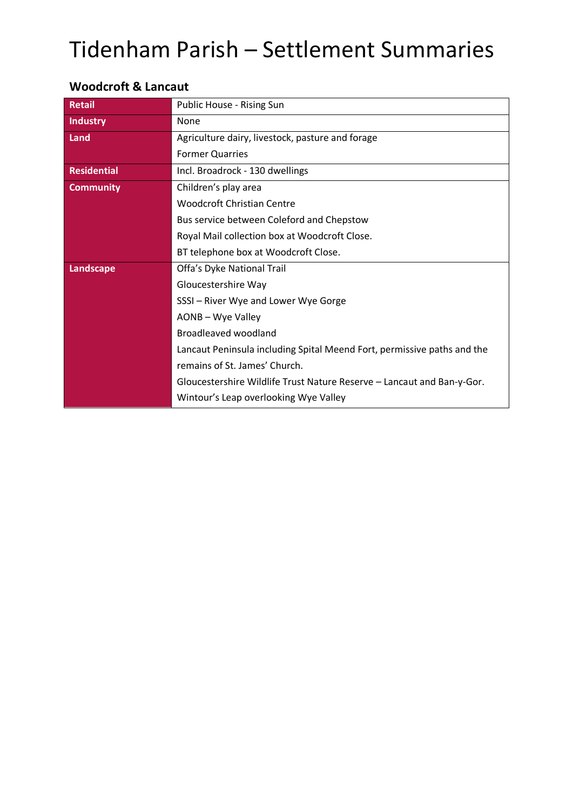| <b>Retail</b>      | Public House - Rising Sun                                               |
|--------------------|-------------------------------------------------------------------------|
|                    |                                                                         |
| <b>Industry</b>    | None                                                                    |
| Land               | Agriculture dairy, livestock, pasture and forage                        |
|                    | <b>Former Quarries</b>                                                  |
| <b>Residential</b> | Incl. Broadrock - 130 dwellings                                         |
| <b>Community</b>   | Children's play area                                                    |
|                    | <b>Woodcroft Christian Centre</b>                                       |
|                    | Bus service between Coleford and Chepstow                               |
|                    | Royal Mail collection box at Woodcroft Close.                           |
|                    | BT telephone box at Woodcroft Close.                                    |
| Landscape          | Offa's Dyke National Trail                                              |
|                    | Gloucestershire Way                                                     |
|                    | SSSI - River Wye and Lower Wye Gorge                                    |
|                    | AONB - Wye Valley                                                       |
|                    | Broadleaved woodland                                                    |
|                    | Lancaut Peninsula including Spital Meend Fort, permissive paths and the |
|                    | remains of St. James' Church.                                           |
|                    | Gloucestershire Wildlife Trust Nature Reserve - Lancaut and Ban-y-Gor.  |
|                    | Wintour's Leap overlooking Wye Valley                                   |

#### **Woodcroft & Lancaut**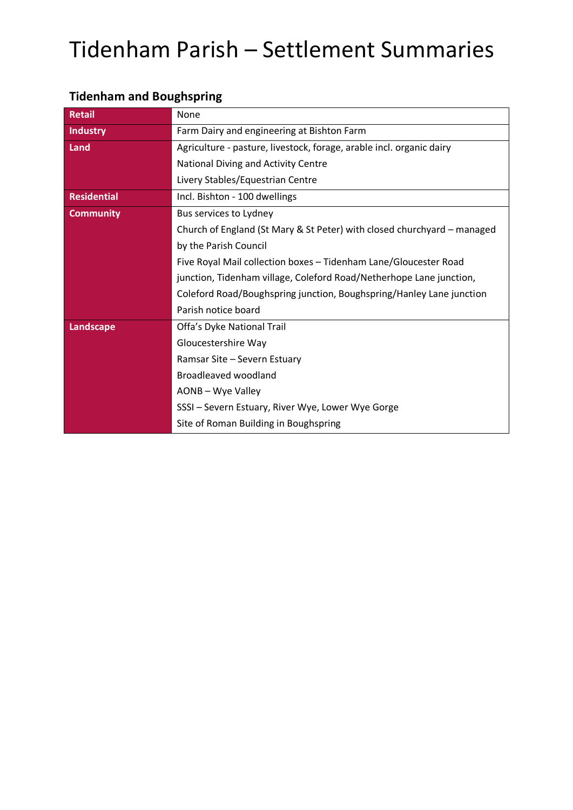| <b>Retail</b>      | None                                                                    |
|--------------------|-------------------------------------------------------------------------|
| <b>Industry</b>    | Farm Dairy and engineering at Bishton Farm                              |
| Land               | Agriculture - pasture, livestock, forage, arable incl. organic dairy    |
|                    | National Diving and Activity Centre                                     |
|                    | Livery Stables/Equestrian Centre                                        |
| <b>Residential</b> | Incl. Bishton - 100 dwellings                                           |
| <b>Community</b>   | Bus services to Lydney                                                  |
|                    | Church of England (St Mary & St Peter) with closed churchyard – managed |
|                    | by the Parish Council                                                   |
|                    | Five Royal Mail collection boxes - Tidenham Lane/Gloucester Road        |
|                    | junction, Tidenham village, Coleford Road/Netherhope Lane junction,     |
|                    | Coleford Road/Boughspring junction, Boughspring/Hanley Lane junction    |
|                    | Parish notice board                                                     |
| Landscape          | Offa's Dyke National Trail                                              |
|                    | Gloucestershire Way                                                     |
|                    | Ramsar Site - Severn Estuary                                            |
|                    | Broadleaved woodland                                                    |
|                    | AONB - Wye Valley                                                       |
|                    | SSSI - Severn Estuary, River Wye, Lower Wye Gorge                       |
|                    | Site of Roman Building in Boughspring                                   |

### **Tidenham and Boughspring**